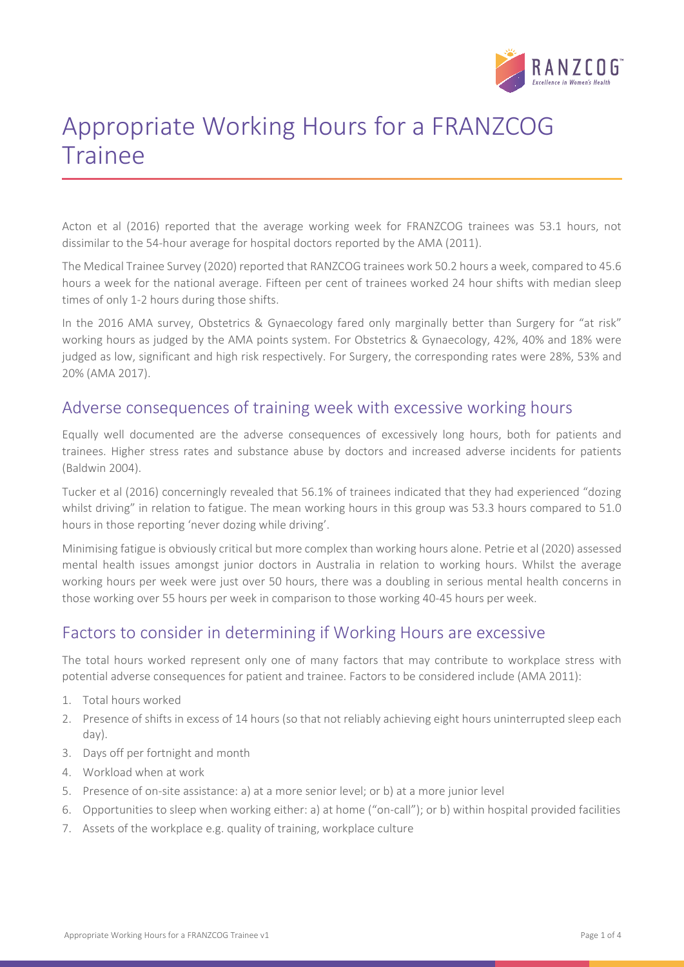

# Appropriate Working Hours for a FRANZCOG Trainee

Acton et al (2016) reported that the average working week for FRANZCOG trainees was 53.1 hours, not dissimilar to the 54-hour average for hospital doctors reported by the AMA (2011).

The Medical Trainee Survey (2020) reported that RANZCOG trainees work 50.2 hours a week, compared to 45.6 hours a week for the national average. Fifteen per cent of trainees worked 24 hour shifts with median sleep times of only 1-2 hours during those shifts.

In the 2016 AMA survey, Obstetrics & Gynaecology fared only marginally better than Surgery for "at risk" working hours as judged by the AMA points system. For Obstetrics & Gynaecology, 42%, 40% and 18% were judged as low, significant and high risk respectively. For Surgery, the corresponding rates were 28%, 53% and 20% (AMA 2017).

#### Adverse consequences of training week with excessive working hours

Equally well documented are the adverse consequences of excessively long hours, both for patients and trainees. Higher stress rates and substance abuse by doctors and increased adverse incidents for patients (Baldwin 2004).

Tucker et al (2016) concerningly revealed that 56.1% of trainees indicated that they had experienced "dozing whilst driving" in relation to fatigue. The mean working hours in this group was 53.3 hours compared to 51.0 hours in those reporting 'never dozing while driving'.

Minimising fatigue is obviously critical but more complex than working hours alone. Petrie et al (2020) assessed mental health issues amongst junior doctors in Australia in relation to working hours. Whilst the average working hours per week were just over 50 hours, there was a doubling in serious mental health concerns in those working over 55 hours per week in comparison to those working 40-45 hours per week.

## Factors to consider in determining if Working Hours are excessive

The total hours worked represent only one of many factors that may contribute to workplace stress with potential adverse consequences for patient and trainee. Factors to be considered include (AMA 2011):

- 1. Total hours worked
- 2. Presence of shifts in excess of 14 hours (so that not reliably achieving eight hours uninterrupted sleep each day).
- 3. Days off per fortnight and month
- 4. Workload when at work
- 5. Presence of on-site assistance: a) at a more senior level; or b) at a more junior level
- 6. Opportunities to sleep when working either: a) at home ("on-call"); or b) within hospital provided facilities
- 7. Assets of the workplace e.g. quality of training, workplace culture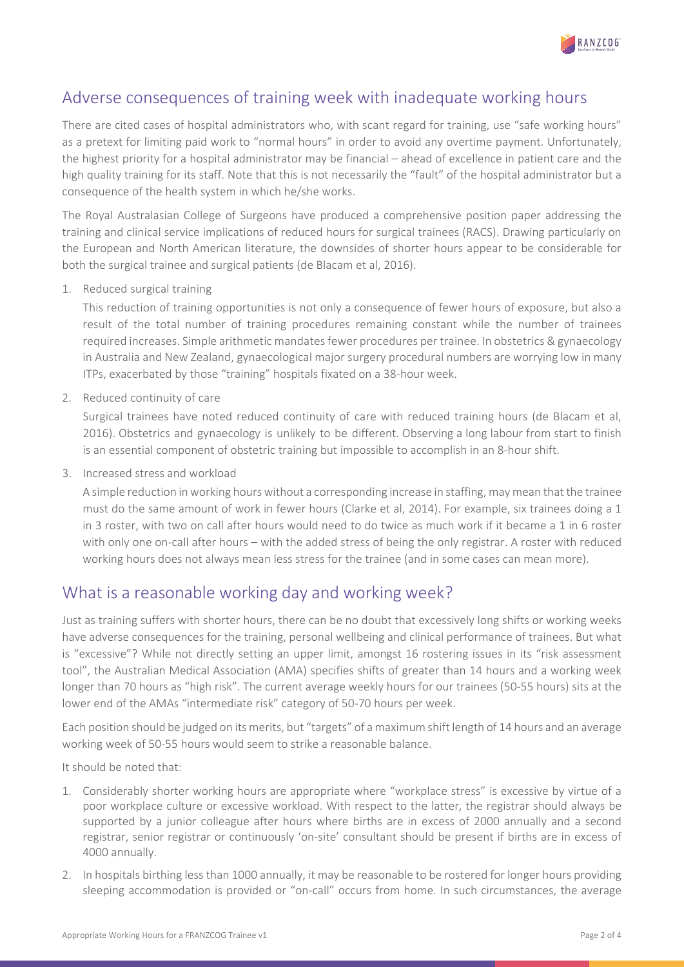

### Adverse consequences of training week with inadequate working hours

There are cited cases of hospital administrators who, with scant regard for training, use "safe working hours" as a pretext for limiting paid work to "normal hours" in order to avoid any overtime payment. Unfortunately, the highest priority for a hospital administrator may be financial – ahead of excellence in patient care and the high quality training for its staff. Note that this is not necessarily the "fault" of the hospital administrator but a consequence of the health system in which he/she works.

The Royal Australasian College of Surgeons have produced a comprehensive position paper addressing the training and clinical service implications of reduced hours for surgical trainees (RACS). Drawing particularly on the European and North American literature, the downsides of shorter hours appear to be considerable for both the surgical trainee and surgical patients (de Blacam et al, 2016).

1. Reduced surgical training

This reduction of training opportunities is not only a consequence of fewer hours of exposure, but also a result of the total number of training procedures remaining constant while the number of trainees required increases. Simple arithmetic mandates fewer procedures per trainee. In obstetrics & gynaecology in Australia and New Zealand, gynaecological major surgery procedural numbers are worrying low in many ITPs, exacerbated by those "training" hospitals fixated on a 38-hour week.

2. Reduced continuity of care

Surgical trainees have noted reduced continuity of care with reduced training hours (de Blacam et al, 2016). Obstetrics and gynaecology is unlikely to be different. Observing a long labour from start to finish is an essential component of obstetric training but impossible to accomplish in an 8-hour shift.

3. Increased stress and workload

A simple reduction in working hours without a corresponding increase in staffing, may mean that the trainee must do the same amount of work in fewer hours (Clarke et al, 2014). For example, six trainees doing a 1 in 3 roster, with two on call after hours would need to do twice as much work if it became a 1 in 6 roster with only one on-call after hours – with the added stress of being the only registrar. A roster with reduced working hours does not always mean less stress for the trainee (and in some cases can mean more).

### What is a reasonable working day and working week?

Just as training suffers with shorter hours, there can be no doubt that excessively long shifts or working weeks have adverse consequences for the training, personal wellbeing and clinical performance of trainees. But what is "excessive"? While not directly setting an upper limit, amongst 16 rostering issues in its "risk assessment tool", the Australian Medical Association (AMA) specifies shifts of greater than 14 hours and a working week longer than 70 hours as "high risk". The current average weekly hours for our trainees (50-55 hours) sits at the lower end of the AMAs "intermediate risk" category of 50-70 hours per week.

Each position should be judged on its merits, but "targets" of a maximum shift length of 14 hours and an average working week of 50-55 hours would seem to strike a reasonable balance.

It should be noted that:

- 1. Considerably shorter working hours are appropriate where "workplace stress" is excessive by virtue of a poor workplace culture or excessive workload. With respect to the latter, the registrar should always be supported by a junior colleague after hours where births are in excess of 2000 annually and a second registrar, senior registrar or continuously 'on-site' consultant should be present if births are in excess of 4000 annually.
- 2. In hospitals birthing less than 1000 annually, it may be reasonable to be rostered for longer hours providing sleeping accommodation is provided or "on-call" occurs from home. In such circumstances, the average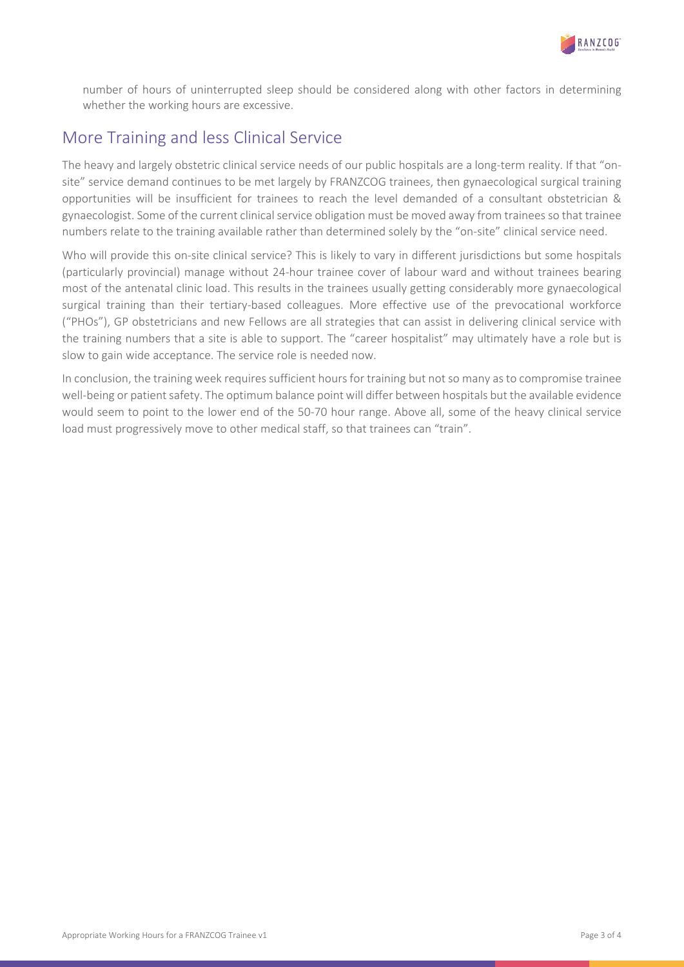

number of hours of uninterrupted sleep should be considered along with other factors in determining whether the working hours are excessive.

### More Training and less Clinical Service

The heavy and largely obstetric clinical service needs of our public hospitals are a long-term reality. If that "onsite" service demand continues to be met largely by FRANZCOG trainees, then gynaecological surgical training opportunities will be insufficient for trainees to reach the level demanded of a consultant obstetrician & gynaecologist. Some of the current clinical service obligation must be moved away from trainees so that trainee numbers relate to the training available rather than determined solely by the "on-site" clinical service need.

Who will provide this on-site clinical service? This is likely to vary in different jurisdictions but some hospitals (particularly provincial) manage without 24-hour trainee cover of labour ward and without trainees bearing most of the antenatal clinic load. This results in the trainees usually getting considerably more gynaecological surgical training than their tertiary-based colleagues. More effective use of the prevocational workforce ("PHOs"), GP obstetricians and new Fellows are all strategies that can assist in delivering clinical service with the training numbers that a site is able to support. The "career hospitalist" may ultimately have a role but is slow to gain wide acceptance. The service role is needed now.

In conclusion, the training week requires sufficient hours for training but not so many as to compromise trainee well-being or patient safety. The optimum balance point will differ between hospitals but the available evidence would seem to point to the lower end of the 50-70 hour range. Above all, some of the heavy clinical service load must progressively move to other medical staff, so that trainees can "train".